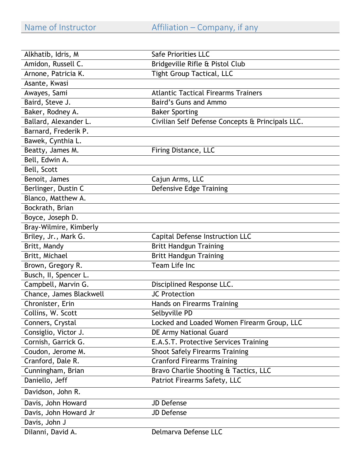| Alkhatib, Idris, M      | Safe Priorities LLC                              |
|-------------------------|--------------------------------------------------|
| Amidon, Russell C.      | Bridgeville Rifle & Pistol Club                  |
| Arnone, Patricia K.     | <b>Tight Group Tactical, LLC</b>                 |
| Asante, Kwasi           |                                                  |
| Awayes, Sami            | <b>Atlantic Tactical Firearms Trainers</b>       |
| Baird, Steve J.         | Baird's Guns and Ammo                            |
| Baker, Rodney A.        | <b>Baker Sporting</b>                            |
| Ballard, Alexander L.   | Civilian Self Defense Concepts & Principals LLC. |
| Barnard, Frederik P.    |                                                  |
| Bawek, Cynthia L.       |                                                  |
| Beatty, James M.        | Firing Distance, LLC                             |
| Bell, Edwin A.          |                                                  |
| Bell, Scott             |                                                  |
| Benoit, James           | Cajun Arms, LLC                                  |
| Berlinger, Dustin C     | <b>Defensive Edge Training</b>                   |
| Blanco, Matthew A.      |                                                  |
| Bockrath, Brian         |                                                  |
| Boyce, Joseph D.        |                                                  |
| Bray-Wilmire, Kimberly  |                                                  |
| Briley, Jr., Mark G.    | Capital Defense Instruction LLC                  |
| Britt, Mandy            | <b>Britt Handgun Training</b>                    |
| Britt, Michael          | <b>Britt Handgun Training</b>                    |
| Brown, Gregory R.       | Team Life Inc                                    |
| Busch, II, Spencer L.   |                                                  |
| Campbell, Marvin G.     | Disciplined Response LLC.                        |
| Chance, James Blackwell | <b>JC Protection</b>                             |
| Chronister, Erin        | Hands on Firearms Training                       |
| Collins, W. Scott       | Selbyville PD                                    |
| Conners, Crystal        | Locked and Loaded Women Firearm Group, LLC       |
| Consiglio, Victor J.    | DE Army National Guard                           |
| Cornish, Garrick G.     | E.A.S.T. Protective Services Training            |
| Coudon, Jerome M.       | <b>Shoot Safely Firearms Training</b>            |
| Cranford, Dale R.       | <b>Cranford Firearms Training</b>                |
| Cunningham, Brian       | Bravo Charlie Shooting & Tactics, LLC            |
| Daniello, Jeff          | Patriot Firearms Safety, LLC                     |
| Davidson, John R.       |                                                  |
| Davis, John Howard      | <b>JD Defense</b>                                |
| Davis, John Howard Jr   | JD Defense                                       |
| Davis, John J           |                                                  |
| Dilanni, David A.       | Delmarva Defense LLC                             |
|                         |                                                  |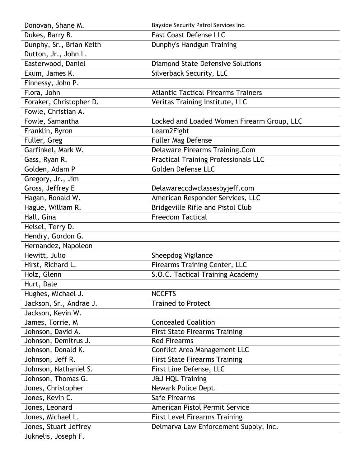| Donovan, Shane M.        | Bayside Security Patrol Services Inc.       |
|--------------------------|---------------------------------------------|
| Dukes, Barry B.          | <b>East Coast Defense LLC</b>               |
| Dunphy, Sr., Brian Keith | Dunphy's Handgun Training                   |
| Dutton, Jr., John L.     |                                             |
| Easterwood, Daniel       | <b>Diamond State Defensive Solutions</b>    |
| Exum, James K.           | Silverback Security, LLC                    |
| Finnessy, John P.        |                                             |
| Flora, John              | <b>Atlantic Tactical Firearms Trainers</b>  |
| Foraker, Christopher D.  | Veritas Training Institute, LLC             |
| Fowle, Christian A.      |                                             |
| Fowle, Samantha          | Locked and Loaded Women Firearm Group, LLC  |
| Franklin, Byron          | Learn2Fight                                 |
| Fuller, Greg             | Fuller Mag Defense                          |
| Garfinkel, Mark W.       | <b>Delaware Firearms Training.Com</b>       |
| Gass, Ryan R.            | <b>Practical Training Professionals LLC</b> |
| Golden, Adam P           | Golden Defense LLC                          |
| Gregory, Jr., Jim        |                                             |
| Gross, Jeffrey E         | Delawareccdwclassesbyjeff.com               |
| Hagan, Ronald W.         | American Responder Services, LLC            |
| Hague, William R.        | Bridgeville Rifle and Pistol Club           |
| Hall, Gina               | <b>Freedom Tactical</b>                     |
| Helsel, Terry D.         |                                             |
| Hendry, Gordon G.        |                                             |
| Hernandez, Napoleon      |                                             |
| Hewitt, Julio            | Sheepdog Vigilance                          |
| Hirst, Richard L.        | <b>Firearms Training Center, LLC</b>        |
| Holz, Glenn              | S.O.C. Tactical Training Academy            |
| Hurt, Dale               |                                             |
| Hughes, Michael J.       | <b>NCCFTS</b>                               |
| Jackson, Sr., Andrae J.  | <b>Trained to Protect</b>                   |
| Jackson, Kevin W.        |                                             |
| James, Torrie, M         | <b>Concealed Coalition</b>                  |
| Johnson, David A.        | <b>First State Firearms Training</b>        |
| Johnson, Demitrus J.     | <b>Red Firearms</b>                         |
| Johnson, Donald K.       | Conflict Area Management LLC                |
| Johnson, Jeff R.         | <b>First State Firearms Training</b>        |
| Johnson, Nathaniel S.    | First Line Defense, LLC                     |
| Johnson, Thomas G.       | J&J HQL Training                            |
| Jones, Christopher       | Newark Police Dept.                         |
| Jones, Kevin C.          | Safe Firearms                               |
| Jones, Leonard           | American Pistol Permit Service              |
| Jones, Michael L.        | <b>First Level Firearms Training</b>        |
| Jones, Stuart Jeffrey    | Delmarva Law Enforcement Supply, Inc.       |
| Juknelis, Joseph F.      |                                             |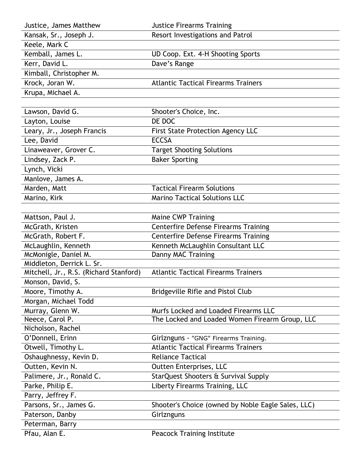| Justice, James Matthew                 | <b>Justice Firearms Training</b>                   |
|----------------------------------------|----------------------------------------------------|
| Kansak, Sr., Joseph J.                 | Resort Investigations and Patrol                   |
| Keele, Mark C                          |                                                    |
| Kemball, James L.                      | UD Coop. Ext. 4-H Shooting Sports                  |
| Kerr, David L.                         | Dave's Range                                       |
| Kimball, Christopher M.                |                                                    |
| Krock, Joran W.                        | <b>Atlantic Tactical Firearms Trainers</b>         |
| Krupa, Michael A.                      |                                                    |
|                                        |                                                    |
| Lawson, David G.                       | Shooter's Choice, Inc.                             |
| Layton, Louise                         | DE DOC                                             |
| Leary, Jr., Joseph Francis             | <b>First State Protection Agency LLC</b>           |
| Lee, David                             | <b>ECCSA</b>                                       |
| Linaweaver, Grover C.                  | <b>Target Shooting Solutions</b>                   |
| Lindsey, Zack P.                       | <b>Baker Sporting</b>                              |
| Lynch, Vicki                           |                                                    |
| Manlove, James A.                      |                                                    |
| Marden, Matt                           | <b>Tactical Firearm Solutions</b>                  |
| Marino, Kirk                           | <b>Marino Tactical Solutions LLC</b>               |
|                                        |                                                    |
| Mattson, Paul J.                       | <b>Maine CWP Training</b>                          |
| McGrath, Kristen                       | <b>Centerfire Defense Firearms Training</b>        |
| McGrath, Robert F.                     | <b>Centerfire Defense Firearms Training</b>        |
| McLaughlin, Kenneth                    | Kenneth McLaughlin Consultant LLC                  |
| McMonigle, Daniel M.                   | Danny MAC Training                                 |
| Middleton, Derrick L. Sr.              |                                                    |
| Mitchell, Jr., R.S. (Richard Stanford) | <b>Atlantic Tactical Firearms Trainers</b>         |
| Monson, David, S.                      |                                                    |
| Moore, Timothy A.                      | Bridgeville Rifle and Pistol Club                  |
| Morgan, Michael Todd                   |                                                    |
| Murray, Glenn W.                       | Murfs Locked and Loaded Firearms LLC               |
| Neece, Carol P.                        | The Locked and Loaded Women Firearm Group, LLC     |
| Nicholson, Rachel                      |                                                    |
| O'Donnell, Erinn                       | Girlznguns - "GNG" Firearms Training.              |
| Otwell, Timothy L.                     | <b>Atlantic Tactical Firearms Trainers</b>         |
| Oshaughnessy, Kevin D.                 | <b>Reliance Tactical</b>                           |
| Outten, Kevin N.                       | Outten Enterprises, LLC                            |
| Palimere, Jr., Ronald C.               | StarQuest Shooters & Survival Supply               |
| Parke, Philip E.                       | Liberty Firearms Training, LLC                     |
| Parry, Jeffrey F.                      |                                                    |
| Parsons, Sr., James G.                 | Shooter's Choice (owned by Noble Eagle Sales, LLC) |
| Paterson, Danby                        | Girlznguns                                         |
| Peterman, Barry                        |                                                    |
| Pfau, Alan E.                          | <b>Peacock Training Institute</b>                  |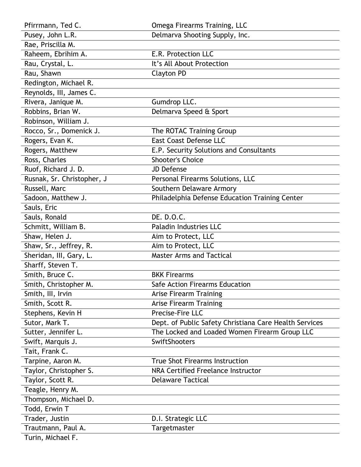| Pfirrmann, Ted C.          | Omega Firearms Training, LLC                           |
|----------------------------|--------------------------------------------------------|
| Pusey, John L.R.           | Delmarva Shooting Supply, Inc.                         |
| Rae, Priscilla M.          |                                                        |
| Raheem, Ebrihim A.         | E.R. Protection LLC                                    |
| Rau, Crystal, L.           | It's All About Protection                              |
| Rau, Shawn                 | <b>Clayton PD</b>                                      |
| Redington, Michael R.      |                                                        |
| Reynolds, III, James C.    |                                                        |
| Rivera, Janique M.         | Gumdrop LLC.                                           |
| Robbins, Brian W.          | Delmarva Speed & Sport                                 |
| Robinson, William J.       |                                                        |
| Rocco, Sr., Domenick J.    | The ROTAC Training Group                               |
| Rogers, Evan K.            | <b>East Coast Defense LLC</b>                          |
| Rogers, Matthew            | E.P. Security Solutions and Consultants                |
| Ross, Charles              | <b>Shooter's Choice</b>                                |
| Ruof, Richard J. D.        | <b>JD Defense</b>                                      |
| Rusnak, Sr. Christopher, J | Personal Firearms Solutions, LLC                       |
| Russell, Marc              | Southern Delaware Armory                               |
| Sadoon, Matthew J.         | Philadelphia Defense Education Training Center         |
| Sauls, Eric                |                                                        |
| Sauls, Ronald              | DE. D.O.C.                                             |
| Schmitt, William B.        | Paladin Industries LLC                                 |
| Shaw, Helen J.             | Aim to Protect, LLC                                    |
| Shaw, Sr., Jeffrey, R.     | Aim to Protect, LLC                                    |
| Sheridan, III, Gary, L.    | <b>Master Arms and Tactical</b>                        |
| Sharff, Steven T.          |                                                        |
| Smith, Bruce C.            | <b>BKK Firearms</b>                                    |
| Smith, Christopher M.      | Safe Action Firearms Education                         |
| Smith, III, Irvin          | <b>Arise Firearm Training</b>                          |
| Smith, Scott R.            | <b>Arise Firearm Training</b>                          |
| Stephens, Kevin H          | Precise-Fire LLC                                       |
| Sutor, Mark T.             | Dept. of Public Safety Christiana Care Health Services |
| Sutter, Jennifer L.        | The Locked and Loaded Women Firearm Group LLC          |
| Swift, Marquis J.          | <b>SwiftShooters</b>                                   |
| Tait, Frank C.             |                                                        |
| Tarpine, Aaron M.          | <b>True Shot Firearms Instruction</b>                  |
| Taylor, Christopher S.     | NRA Certified Freelance Instructor                     |
| Taylor, Scott R.           | <b>Delaware Tactical</b>                               |
| Teagle, Henry M.           |                                                        |
| Thompson, Michael D.       |                                                        |
| Todd, Erwin T              |                                                        |
| Trader, Justin             | D.I. Strategic LLC                                     |
| Trautmann, Paul A.         | Targetmaster                                           |
| Turin, Michael F.          |                                                        |
|                            |                                                        |